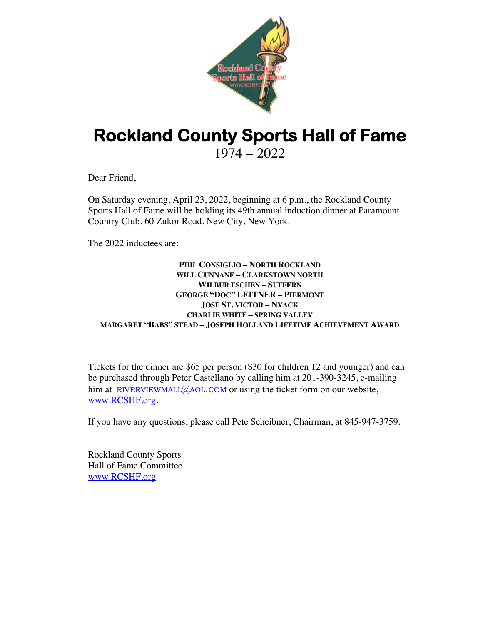

## **Rockland County Sports Hall of Fame** 1974 – 2022

Dear Friend,

On Saturday evening, April 23, 2022, beginning at 6 p.m., the Rockland County Sports Hall of Fame will be holding its 49th annual induction dinner at Paramount Country Club, 60 Zukor Road, New City, New York.

The 2022 inductees are:

## **PHIL CONSIGLIO – NORTH ROCKLAND WILL CUNNANE – CLARKSTOWN NORTH WILBUR ESCHEN – SUFFERN GEORGE "DOC" LEITNER – PIERMONT JOSE ST. VICTOR – NYACK CHARLIE WHITE – SPRING VALLEY MARGARET "BABS" STEAD – JOSEPH HOLLAND LIFETIME ACHIEVEMENT AWARD**

Tickets for the dinner are \$65 per person (\$30 for children 12 and younger) and can be purchased through Peter Castellano by calling him at 201-390-3245, e-mailing him at RIVERVIEWMALL@AOL.COM or using the ticket form on our website, www.RCSHF.org.

If you have any questions, please call Pete Scheibner, Chairman, at 845-947-3759.

Rockland County Sports Hall of Fame Committee www.RCSHF.org